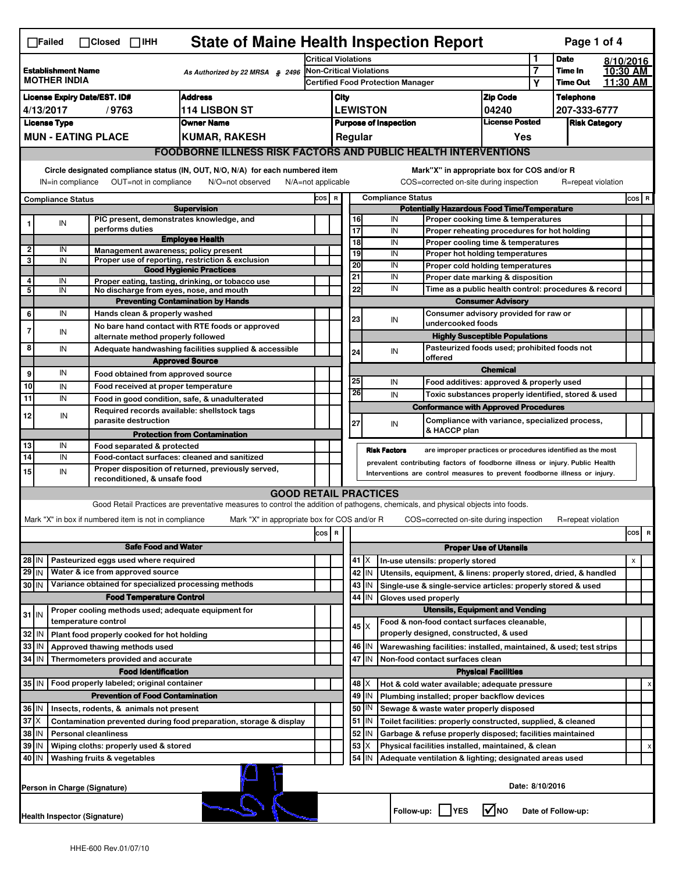|                                                                                                                                                                                                                                                                                           | <b>State of Maine Health Inspection Report</b><br>Page 1 of 4<br>$\Box$ Failed<br>$\Box$ Closed $\Box$ IHH |  |                                                                            |                                                                                                                                   |                                                                            |                                                                              |                                                                            |                                                                                    |                     |                                                                                   |                                       |                      |                    |           |                |   |
|-------------------------------------------------------------------------------------------------------------------------------------------------------------------------------------------------------------------------------------------------------------------------------------------|------------------------------------------------------------------------------------------------------------|--|----------------------------------------------------------------------------|-----------------------------------------------------------------------------------------------------------------------------------|----------------------------------------------------------------------------|------------------------------------------------------------------------------|----------------------------------------------------------------------------|------------------------------------------------------------------------------------|---------------------|-----------------------------------------------------------------------------------|---------------------------------------|----------------------|--------------------|-----------|----------------|---|
|                                                                                                                                                                                                                                                                                           |                                                                                                            |  |                                                                            |                                                                                                                                   |                                                                            | <b>Critical Violations</b>                                                   |                                                                            |                                                                                    |                     |                                                                                   |                                       | 1                    | <b>Date</b>        | 8/10/2016 |                |   |
| <b>Establishment Name</b><br>As Authorized by 22 MRSA § 2496<br><b>MOTHER INDIA</b>                                                                                                                                                                                                       |                                                                                                            |  |                                                                            |                                                                                                                                   | Non-Critical Violations<br><b>Certified Food Protection Manager</b>        |                                                                              |                                                                            |                                                                                    |                     | $\overline{7}$                                                                    | Time In                               | 10:30 AM             |                    |           |                |   |
|                                                                                                                                                                                                                                                                                           |                                                                                                            |  |                                                                            |                                                                                                                                   |                                                                            |                                                                              |                                                                            |                                                                                    |                     |                                                                                   |                                       | Υ                    | <b>Time Out</b>    | 11.30 AM  |                |   |
| <b>Address</b><br><b>License Expiry Date/EST. ID#</b>                                                                                                                                                                                                                                     |                                                                                                            |  |                                                                            |                                                                                                                                   |                                                                            | <b>Zip Code</b><br>City                                                      |                                                                            |                                                                                    |                     |                                                                                   |                                       | <b>Telephone</b>     |                    |           |                |   |
| <b>114 LISBON ST</b><br>4/13/2017<br>/9763                                                                                                                                                                                                                                                |                                                                                                            |  |                                                                            |                                                                                                                                   |                                                                            | <b>LEWISTON</b><br>04240                                                     |                                                                            |                                                                                    |                     |                                                                                   | 207-333-6777                          |                      |                    |           |                |   |
| <b>Owner Name</b><br><b>License Type</b>                                                                                                                                                                                                                                                  |                                                                                                            |  |                                                                            |                                                                                                                                   |                                                                            | <b>License Posted</b><br><b>Purpose of Inspection</b><br>Regular             |                                                                            |                                                                                    |                     |                                                                                   |                                       | <b>Risk Category</b> |                    |           |                |   |
|                                                                                                                                                                                                                                                                                           | <b>MUN - EATING PLACE</b><br><b>KUMAR, RAKESH</b>                                                          |  |                                                                            |                                                                                                                                   |                                                                            |                                                                              |                                                                            |                                                                                    |                     |                                                                                   | Yes                                   |                      |                    |           |                |   |
|                                                                                                                                                                                                                                                                                           | <b>FOODBORNE ILLNESS RISK FACTORS AND PUBLIC HEALTH INTERVENTIONS</b>                                      |  |                                                                            |                                                                                                                                   |                                                                            |                                                                              |                                                                            |                                                                                    |                     |                                                                                   |                                       |                      |                    |           |                |   |
| Circle designated compliance status (IN, OUT, N/O, N/A) for each numbered item<br>Mark"X" in appropriate box for COS and/or R<br>IN=in compliance<br>OUT=not in compliance<br>COS=corrected on-site during inspection<br>R=repeat violation<br>N/O=not observed<br>$N/A = not$ applicable |                                                                                                            |  |                                                                            |                                                                                                                                   |                                                                            |                                                                              |                                                                            |                                                                                    |                     |                                                                                   |                                       |                      |                    |           |                |   |
| <b>Compliance Status</b>                                                                                                                                                                                                                                                                  |                                                                                                            |  |                                                                            |                                                                                                                                   |                                                                            | <b>Compliance Status</b><br>COS R                                            |                                                                            |                                                                                    |                     |                                                                                   |                                       |                      |                    | COS R     |                |   |
| <b>Supervision</b>                                                                                                                                                                                                                                                                        |                                                                                                            |  |                                                                            |                                                                                                                                   |                                                                            | <b>Potentially Hazardous Food Time/Temperature</b>                           |                                                                            |                                                                                    |                     |                                                                                   |                                       |                      |                    |           |                |   |
|                                                                                                                                                                                                                                                                                           | IN                                                                                                         |  | PIC present, demonstrates knowledge, and<br>performs duties                |                                                                                                                                   |                                                                            |                                                                              |                                                                            | 16<br>$\overline{17}$                                                              | IN<br>IN            | Proper cooking time & temperatures                                                |                                       |                      |                    |           |                |   |
|                                                                                                                                                                                                                                                                                           |                                                                                                            |  |                                                                            | <b>Employee Health</b>                                                                                                            |                                                                            |                                                                              |                                                                            | 18                                                                                 | IN                  | Proper reheating procedures for hot holding<br>Proper cooling time & temperatures |                                       |                      |                    |           |                |   |
| $\mathbf{2}$                                                                                                                                                                                                                                                                              | IN                                                                                                         |  | Management awareness; policy present                                       |                                                                                                                                   |                                                                            |                                                                              |                                                                            | 19                                                                                 | IN                  | Proper hot holding temperatures                                                   |                                       |                      |                    |           |                |   |
| 3                                                                                                                                                                                                                                                                                         | IN                                                                                                         |  |                                                                            | Proper use of reporting, restriction & exclusion                                                                                  |                                                                            |                                                                              |                                                                            | 20                                                                                 | IN                  | Proper cold holding temperatures                                                  |                                       |                      |                    |           |                |   |
| 4                                                                                                                                                                                                                                                                                         | IN                                                                                                         |  |                                                                            | <b>Good Hygienic Practices</b><br>Proper eating, tasting, drinking, or tobacco use                                                |                                                                            |                                                                              |                                                                            | 21                                                                                 | IN                  | Proper date marking & disposition                                                 |                                       |                      |                    |           |                |   |
| 5                                                                                                                                                                                                                                                                                         | IN                                                                                                         |  | No discharge from eyes, nose, and mouth                                    |                                                                                                                                   |                                                                            |                                                                              |                                                                            | 22                                                                                 | IN                  | Time as a public health control: procedures & record                              |                                       |                      |                    |           |                |   |
|                                                                                                                                                                                                                                                                                           |                                                                                                            |  |                                                                            | <b>Preventing Contamination by Hands</b>                                                                                          |                                                                            |                                                                              |                                                                            |                                                                                    |                     |                                                                                   | <b>Consumer Advisory</b>              |                      |                    |           |                |   |
| 6                                                                                                                                                                                                                                                                                         | IN                                                                                                         |  | Hands clean & properly washed                                              |                                                                                                                                   |                                                                            |                                                                              |                                                                            | 23                                                                                 |                     | Consumer advisory provided for raw or                                             |                                       |                      |                    |           |                |   |
| 7                                                                                                                                                                                                                                                                                         | IN                                                                                                         |  |                                                                            | No bare hand contact with RTE foods or approved                                                                                   |                                                                            |                                                                              |                                                                            |                                                                                    | IN                  | undercooked foods                                                                 |                                       |                      |                    |           |                |   |
|                                                                                                                                                                                                                                                                                           |                                                                                                            |  | alternate method properly followed                                         |                                                                                                                                   |                                                                            |                                                                              |                                                                            |                                                                                    |                     |                                                                                   | <b>Highly Susceptible Populations</b> |                      |                    |           |                |   |
| 8                                                                                                                                                                                                                                                                                         | IN                                                                                                         |  |                                                                            | Adequate handwashing facilities supplied & accessible                                                                             |                                                                            |                                                                              |                                                                            | 24                                                                                 | IN                  | Pasteurized foods used; prohibited foods not<br>offered                           |                                       |                      |                    |           |                |   |
|                                                                                                                                                                                                                                                                                           |                                                                                                            |  |                                                                            | <b>Approved Source</b>                                                                                                            |                                                                            |                                                                              |                                                                            |                                                                                    |                     |                                                                                   | <b>Chemical</b>                       |                      |                    |           |                |   |
| 9                                                                                                                                                                                                                                                                                         | IN                                                                                                         |  | Food obtained from approved source                                         |                                                                                                                                   |                                                                            |                                                                              |                                                                            | 25                                                                                 | IN                  | Food additives: approved & properly used                                          |                                       |                      |                    |           |                |   |
| 10                                                                                                                                                                                                                                                                                        | IN                                                                                                         |  | Food received at proper temperature                                        |                                                                                                                                   |                                                                            |                                                                              |                                                                            | 26                                                                                 | IN                  | Toxic substances properly identified, stored & used                               |                                       |                      |                    |           |                |   |
| 11                                                                                                                                                                                                                                                                                        | IN                                                                                                         |  | Food in good condition, safe, & unadulterated                              |                                                                                                                                   |                                                                            |                                                                              |                                                                            |                                                                                    |                     | <b>Conformance with Approved Procedures</b>                                       |                                       |                      |                    |           |                |   |
| 12                                                                                                                                                                                                                                                                                        | IN                                                                                                         |  | Required records available: shellstock tags<br>parasite destruction        |                                                                                                                                   |                                                                            |                                                                              |                                                                            | 27                                                                                 | IN                  | Compliance with variance, specialized process,                                    |                                       |                      |                    |           |                |   |
|                                                                                                                                                                                                                                                                                           |                                                                                                            |  |                                                                            | <b>Protection from Contamination</b>                                                                                              |                                                                            |                                                                              |                                                                            |                                                                                    |                     | & HACCP plan                                                                      |                                       |                      |                    |           |                |   |
| 13                                                                                                                                                                                                                                                                                        | IN                                                                                                         |  | Food separated & protected                                                 |                                                                                                                                   |                                                                            |                                                                              |                                                                            |                                                                                    | <b>Risk Factors</b> | are improper practices or procedures identified as the most                       |                                       |                      |                    |           |                |   |
| 14                                                                                                                                                                                                                                                                                        | IN                                                                                                         |  | Food-contact surfaces: cleaned and sanitized                               |                                                                                                                                   |                                                                            | prevalent contributing factors of foodborne illness or injury. Public Health |                                                                            |                                                                                    |                     |                                                                                   |                                       |                      |                    |           |                |   |
| 15                                                                                                                                                                                                                                                                                        | IN                                                                                                         |  | reconditioned, & unsafe food                                               | Proper disposition of returned, previously served,                                                                                | Interventions are control measures to prevent foodborne illness or injury. |                                                                              |                                                                            |                                                                                    |                     |                                                                                   |                                       |                      |                    |           |                |   |
|                                                                                                                                                                                                                                                                                           |                                                                                                            |  |                                                                            | <b>GOOD RETAIL PRACTICES</b>                                                                                                      |                                                                            |                                                                              |                                                                            |                                                                                    |                     |                                                                                   |                                       |                      |                    |           |                |   |
|                                                                                                                                                                                                                                                                                           |                                                                                                            |  |                                                                            | Good Retail Practices are preventative measures to control the addition of pathogens, chemicals, and physical objects into foods. |                                                                            |                                                                              |                                                                            |                                                                                    |                     |                                                                                   |                                       |                      |                    |           |                |   |
|                                                                                                                                                                                                                                                                                           |                                                                                                            |  | Mark "X" in box if numbered item is not in compliance                      | Mark "X" in appropriate box for COS and/or R                                                                                      |                                                                            |                                                                              |                                                                            |                                                                                    |                     | COS=corrected on-site during inspection                                           |                                       |                      | R=repeat violation |           |                |   |
|                                                                                                                                                                                                                                                                                           |                                                                                                            |  |                                                                            |                                                                                                                                   |                                                                            | R                                                                            |                                                                            |                                                                                    |                     |                                                                                   |                                       |                      |                    |           | cos            | R |
|                                                                                                                                                                                                                                                                                           |                                                                                                            |  |                                                                            |                                                                                                                                   | cos                                                                        |                                                                              |                                                                            |                                                                                    |                     |                                                                                   |                                       |                      |                    |           |                |   |
|                                                                                                                                                                                                                                                                                           | <b>Safe Food and Water</b>                                                                                 |  |                                                                            |                                                                                                                                   |                                                                            |                                                                              |                                                                            | <b>Proper Use of Utensils</b><br>$41$ $\times$<br>In-use utensils: properly stored |                     |                                                                                   |                                       |                      |                    |           |                |   |
| $28$ IN<br>$29$ IN                                                                                                                                                                                                                                                                        |                                                                                                            |  | Pasteurized eggs used where required<br>Water & ice from approved source   |                                                                                                                                   |                                                                            |                                                                              |                                                                            |                                                                                    |                     |                                                                                   |                                       |                      |                    |           | $\pmb{\times}$ |   |
|                                                                                                                                                                                                                                                                                           |                                                                                                            |  | Variance obtained for specialized processing methods                       |                                                                                                                                   |                                                                            |                                                                              |                                                                            | 42 IN                                                                              |                     | Utensils, equipment, & linens: properly stored, dried, & handled                  |                                       |                      |                    |           |                |   |
| 30 IN                                                                                                                                                                                                                                                                                     |                                                                                                            |  |                                                                            |                                                                                                                                   |                                                                            |                                                                              |                                                                            | 43 IN                                                                              |                     | Single-use & single-service articles: properly stored & used                      |                                       |                      |                    |           |                |   |
|                                                                                                                                                                                                                                                                                           |                                                                                                            |  | <b>Food Temperature Control</b>                                            |                                                                                                                                   |                                                                            |                                                                              | 44<br>IN<br>Gloves used properly<br><b>Utensils, Equipment and Vending</b> |                                                                                    |                     |                                                                                   |                                       |                      |                    |           |                |   |
| $31$ IN                                                                                                                                                                                                                                                                                   |                                                                                                            |  | Proper cooling methods used; adequate equipment for<br>temperature control |                                                                                                                                   |                                                                            |                                                                              |                                                                            |                                                                                    |                     | Food & non-food contact surfaces cleanable,                                       |                                       |                      |                    |           |                |   |
| 32                                                                                                                                                                                                                                                                                        | ۱N                                                                                                         |  | Plant food properly cooked for hot holding                                 |                                                                                                                                   |                                                                            |                                                                              |                                                                            | $45 \times$                                                                        |                     | properly designed, constructed, & used                                            |                                       |                      |                    |           |                |   |
| 33                                                                                                                                                                                                                                                                                        | IN                                                                                                         |  | Approved thawing methods used                                              |                                                                                                                                   |                                                                            |                                                                              |                                                                            | 46   IN                                                                            |                     | Warewashing facilities: installed, maintained, & used; test strips                |                                       |                      |                    |           |                |   |
| 34 IN                                                                                                                                                                                                                                                                                     |                                                                                                            |  | Thermometers provided and accurate                                         |                                                                                                                                   |                                                                            |                                                                              |                                                                            | 47 IN                                                                              |                     |                                                                                   |                                       |                      |                    |           |                |   |
|                                                                                                                                                                                                                                                                                           |                                                                                                            |  | <b>Food Identification</b>                                                 |                                                                                                                                   |                                                                            |                                                                              | Non-food contact surfaces clean<br><b>Physical Facilities</b>              |                                                                                    |                     |                                                                                   |                                       |                      |                    |           |                |   |
| 35 IN                                                                                                                                                                                                                                                                                     |                                                                                                            |  | Food properly labeled; original container                                  |                                                                                                                                   |                                                                            |                                                                              |                                                                            | 48   X                                                                             |                     | Hot & cold water available; adequate pressure                                     |                                       |                      |                    |           |                |   |
|                                                                                                                                                                                                                                                                                           |                                                                                                            |  | <b>Prevention of Food Contamination</b>                                    |                                                                                                                                   |                                                                            |                                                                              |                                                                            | 49<br>IN<br>Plumbing installed; proper backflow devices                            |                     |                                                                                   |                                       |                      |                    |           |                |   |
| 36 IN                                                                                                                                                                                                                                                                                     |                                                                                                            |  | Insects, rodents, & animals not present                                    |                                                                                                                                   |                                                                            |                                                                              |                                                                            | 50 IN                                                                              |                     | Sewage & waste water properly disposed                                            |                                       |                      |                    |           |                |   |
| $37$ $\times$                                                                                                                                                                                                                                                                             |                                                                                                            |  |                                                                            |                                                                                                                                   |                                                                            |                                                                              |                                                                            | 51 IN                                                                              |                     | Toilet facilities: properly constructed, supplied, & cleaned                      |                                       |                      |                    |           |                |   |
| Contamination prevented during food preparation, storage & display<br>38 IN<br><b>Personal cleanliness</b>                                                                                                                                                                                |                                                                                                            |  |                                                                            |                                                                                                                                   |                                                                            |                                                                              |                                                                            | 52 IN                                                                              |                     | Garbage & refuse properly disposed; facilities maintained                         |                                       |                      |                    |           |                |   |
| 39 IN                                                                                                                                                                                                                                                                                     |                                                                                                            |  | Wiping cloths: properly used & stored                                      |                                                                                                                                   |                                                                            |                                                                              |                                                                            | 53<br>Χ                                                                            |                     | Physical facilities installed, maintained, & clean                                |                                       |                      |                    |           |                |   |
|                                                                                                                                                                                                                                                                                           | 54 IN<br>40 IN<br>Washing fruits & vegetables<br>Adequate ventilation & lighting; designated areas used    |  |                                                                            |                                                                                                                                   |                                                                            |                                                                              |                                                                            |                                                                                    |                     |                                                                                   |                                       |                      |                    |           |                |   |
|                                                                                                                                                                                                                                                                                           | Date: 8/10/2016<br>Person in Charge (Signature)                                                            |  |                                                                            |                                                                                                                                   |                                                                            |                                                                              |                                                                            |                                                                                    |                     |                                                                                   |                                       |                      |                    |           |                |   |
|                                                                                                                                                                                                                                                                                           | l√lno<br>Follow-up:     YES<br>Date of Follow-up:<br>Health Inspector (Signature)                          |  |                                                                            |                                                                                                                                   |                                                                            |                                                                              |                                                                            |                                                                                    |                     |                                                                                   |                                       |                      |                    |           |                |   |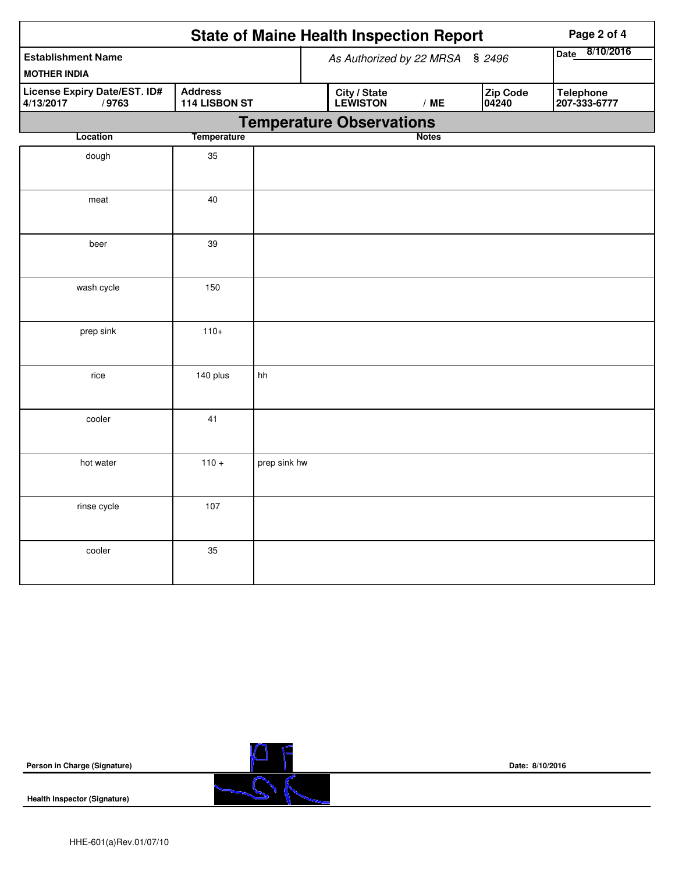| <b>State of Maine Health Inspection Report</b><br>Page 2 of 4                         |                    |              |                          |                                 |     |                   |                                  |  |  |
|---------------------------------------------------------------------------------------|--------------------|--------------|--------------------------|---------------------------------|-----|-------------------|----------------------------------|--|--|
| <b>Establishment Name</b><br><b>MOTHER INDIA</b>                                      |                    |              | As Authorized by 22 MRSA | 8/10/2016<br><b>Date</b>        |     |                   |                                  |  |  |
| License Expiry Date/EST. ID#<br><b>Address</b><br>4/13/2017<br>/9763<br>114 LISBON ST |                    |              |                          | <b>City / State</b><br>LEWISTON | /ME | Zip Code<br>04240 | <b>Telephone</b><br>207-333-6777 |  |  |
|                                                                                       |                    |              |                          | <b>Temperature Observations</b> |     |                   |                                  |  |  |
| Location                                                                              | <b>Temperature</b> |              |                          | <b>Notes</b>                    |     |                   |                                  |  |  |
| dough                                                                                 | 35                 |              |                          |                                 |     |                   |                                  |  |  |
| meat                                                                                  | 40                 |              |                          |                                 |     |                   |                                  |  |  |
| beer                                                                                  | 39                 |              |                          |                                 |     |                   |                                  |  |  |
| wash cycle                                                                            | 150                |              |                          |                                 |     |                   |                                  |  |  |
| prep sink                                                                             | $110+$             |              |                          |                                 |     |                   |                                  |  |  |
| rice                                                                                  | 140 plus           | hh           |                          |                                 |     |                   |                                  |  |  |
| cooler                                                                                | 41                 |              |                          |                                 |     |                   |                                  |  |  |
| hot water                                                                             | $110 +$            | prep sink hw |                          |                                 |     |                   |                                  |  |  |
| rinse cycle                                                                           | 107                |              |                          |                                 |     |                   |                                  |  |  |
| cooler                                                                                | 35                 |              |                          |                                 |     |                   |                                  |  |  |

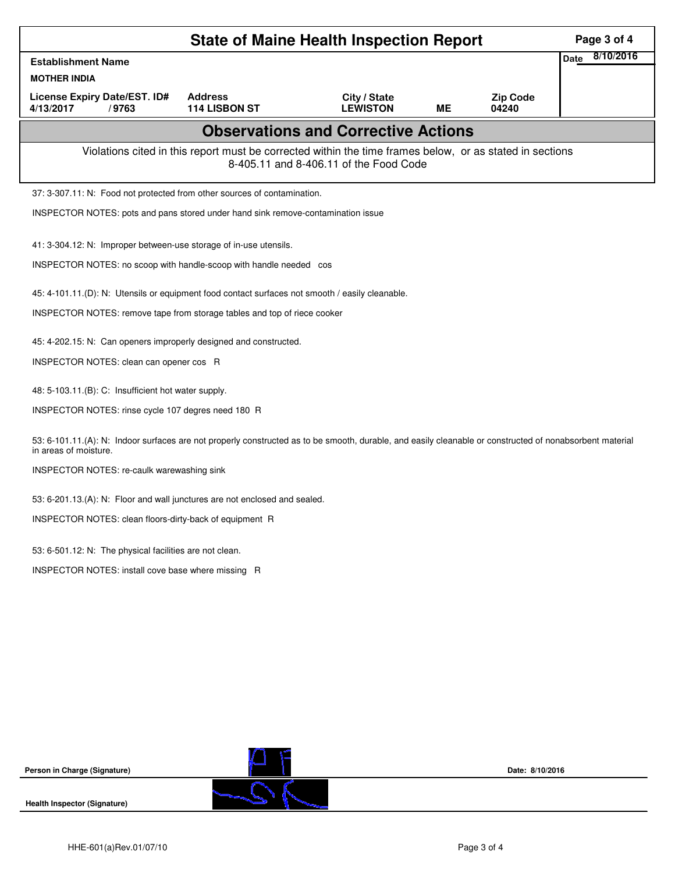|                                                                                                 | Page 3 of 4                                                                                                                                              |                 |           |                 |                |  |  |  |  |
|-------------------------------------------------------------------------------------------------|----------------------------------------------------------------------------------------------------------------------------------------------------------|-----------------|-----------|-----------------|----------------|--|--|--|--|
| <b>Establishment Name</b>                                                                       |                                                                                                                                                          |                 |           |                 | Date 8/10/2016 |  |  |  |  |
| <b>MOTHER INDIA</b><br>License Expiry Date/EST. ID#                                             | <b>Address</b>                                                                                                                                           | City / State    |           | <b>Zip Code</b> |                |  |  |  |  |
| 4/13/2017<br>/9763                                                                              | 114 LISBON ST                                                                                                                                            | <b>LEWISTON</b> | <b>ME</b> | 04240           |                |  |  |  |  |
|                                                                                                 |                                                                                                                                                          |                 |           |                 |                |  |  |  |  |
|                                                                                                 | Violations cited in this report must be corrected within the time frames below, or as stated in sections<br>8-405.11 and 8-406.11 of the Food Code       |                 |           |                 |                |  |  |  |  |
| 37: 3-307.11: N: Food not protected from other sources of contamination.                        |                                                                                                                                                          |                 |           |                 |                |  |  |  |  |
| INSPECTOR NOTES: pots and pans stored under hand sink remove-contamination issue                |                                                                                                                                                          |                 |           |                 |                |  |  |  |  |
| 41: 3-304.12: N: Improper between-use storage of in-use utensils.                               |                                                                                                                                                          |                 |           |                 |                |  |  |  |  |
| INSPECTOR NOTES: no scoop with handle-scoop with handle needed cos                              |                                                                                                                                                          |                 |           |                 |                |  |  |  |  |
| 45: 4-101.11.(D): N: Utensils or equipment food contact surfaces not smooth / easily cleanable. |                                                                                                                                                          |                 |           |                 |                |  |  |  |  |
| INSPECTOR NOTES: remove tape from storage tables and top of riece cooker                        |                                                                                                                                                          |                 |           |                 |                |  |  |  |  |
|                                                                                                 |                                                                                                                                                          |                 |           |                 |                |  |  |  |  |
|                                                                                                 | 45: 4-202.15: N: Can openers improperly designed and constructed.                                                                                        |                 |           |                 |                |  |  |  |  |
| INSPECTOR NOTES: clean can opener cos R                                                         |                                                                                                                                                          |                 |           |                 |                |  |  |  |  |
| 48: 5-103.11.(B): C: Insufficient hot water supply.                                             |                                                                                                                                                          |                 |           |                 |                |  |  |  |  |
| INSPECTOR NOTES: rinse cycle 107 degres need 180 R                                              |                                                                                                                                                          |                 |           |                 |                |  |  |  |  |
| in areas of moisture.                                                                           | 53: 6-101.11.(A): N: Indoor surfaces are not properly constructed as to be smooth, durable, and easily cleanable or constructed of nonabsorbent material |                 |           |                 |                |  |  |  |  |
| INSPECTOR NOTES: re-caulk warewashing sink                                                      |                                                                                                                                                          |                 |           |                 |                |  |  |  |  |
|                                                                                                 | 53: 6-201.13.(A): N: Floor and wall junctures are not enclosed and sealed.                                                                               |                 |           |                 |                |  |  |  |  |
| INSPECTOR NOTES: clean floors-dirty-back of equipment R                                         |                                                                                                                                                          |                 |           |                 |                |  |  |  |  |
| 53: 6-501.12: N: The physical facilities are not clean.                                         |                                                                                                                                                          |                 |           |                 |                |  |  |  |  |
| INSPECTOR NOTES: install cove base where missing R                                              |                                                                                                                                                          |                 |           |                 |                |  |  |  |  |
|                                                                                                 |                                                                                                                                                          |                 |           |                 |                |  |  |  |  |
|                                                                                                 |                                                                                                                                                          |                 |           |                 |                |  |  |  |  |
|                                                                                                 |                                                                                                                                                          |                 |           |                 |                |  |  |  |  |
|                                                                                                 |                                                                                                                                                          |                 |           |                 |                |  |  |  |  |
|                                                                                                 |                                                                                                                                                          |                 |           |                 |                |  |  |  |  |